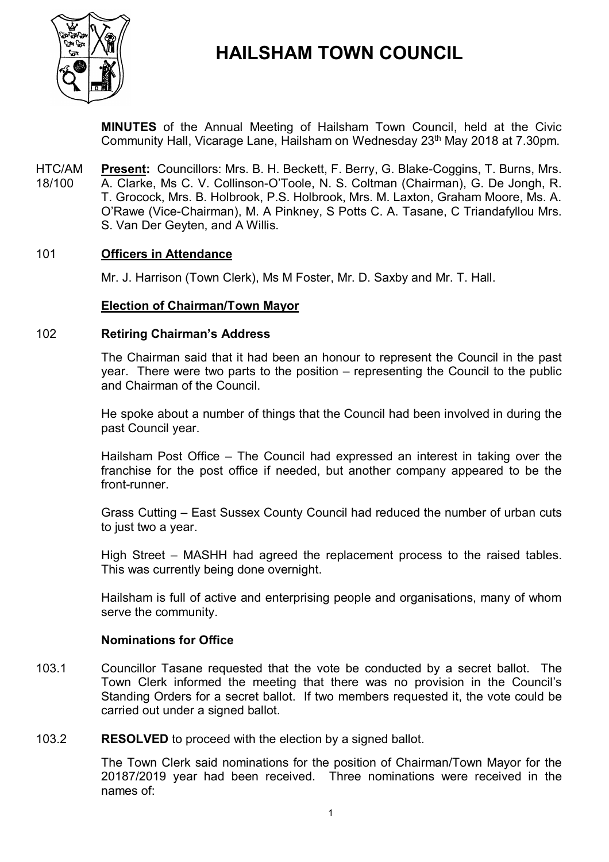

# **HAILSHAM TOWN COUNCIL**

**MINUTES** of the Annual Meeting of Hailsham Town Council, held at the Civic Community Hall, Vicarage Lane, Hailsham on Wednesday 23<sup>th</sup> May 2018 at 7.30pm.

HTC/AM 18/100 **Present:** Councillors: Mrs. B. H. Beckett, F. Berry, G. Blake-Coggins, T. Burns, Mrs. A. Clarke, Ms C. V. Collinson-O'Toole, N. S. Coltman (Chairman), G. De Jongh, R. T. Grocock, Mrs. B. Holbrook, P.S. Holbrook, Mrs. M. Laxton, Graham Moore, Ms. A. O'Rawe (Vice-Chairman), M. A Pinkney, S Potts C. A. Tasane, C Triandafyllou Mrs. S. Van Der Geyten, and A Willis.

#### 101 **Officers in Attendance**

Mr. J. Harrison (Town Clerk), Ms M Foster, Mr. D. Saxby and Mr. T. Hall.

#### **Election of Chairman/Town Mayor**

#### 102 **Retiring Chairman's Address**

The Chairman said that it had been an honour to represent the Council in the past year. There were two parts to the position – representing the Council to the public and Chairman of the Council.

He spoke about a number of things that the Council had been involved in during the past Council year.

Hailsham Post Office – The Council had expressed an interest in taking over the franchise for the post office if needed, but another company appeared to be the front-runner.

Grass Cutting – East Sussex County Council had reduced the number of urban cuts to just two a year.

High Street – MASHH had agreed the replacement process to the raised tables. This was currently being done overnight.

Hailsham is full of active and enterprising people and organisations, many of whom serve the community.

#### **Nominations for Office**

103.1 Councillor Tasane requested that the vote be conducted by a secret ballot. The Town Clerk informed the meeting that there was no provision in the Council's Standing Orders for a secret ballot. If two members requested it, the vote could be carried out under a signed ballot.

103.2 **RESOLVED** to proceed with the election by a signed ballot.

> The Town Clerk said nominations for the position of Chairman/Town Mayor for the 20187/2019 year had been received. Three nominations were received in the names of: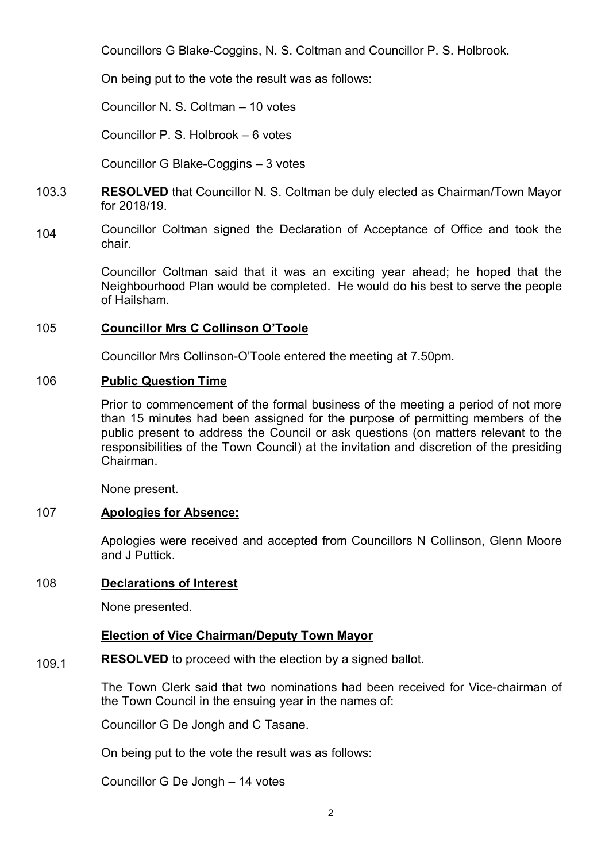Councillors G Blake-Coggins, N. S. Coltman and Councillor P. S. Holbrook.

On being put to the vote the result was as follows:

Councillor N. S. Coltman – 10 votes

Councillor P. S. Holbrook – 6 votes

Councillor G Blake-Coggins – 3 votes

- 103.3 **RESOLVED** that Councillor N. S. Coltman be duly elected as Chairman/Town Mayor for 2018/19.
- 104 Councillor Coltman signed the Declaration of Acceptance of Office and took the chair.

Councillor Coltman said that it was an exciting year ahead; he hoped that the Neighbourhood Plan would be completed. He would do his best to serve the people of Hailsham.

### 105 **Councillor Mrs C Collinson O'Toole**

Councillor Mrs Collinson-O'Toole entered the meeting at 7.50pm.

### 106 **Public Question Time**

Prior to commencement of the formal business of the meeting a period of not more than 15 minutes had been assigned for the purpose of permitting members of the public present to address the Council or ask questions (on matters relevant to the responsibilities of the Town Council) at the invitation and discretion of the presiding Chairman.

None present.

### 107 **Apologies for Absence:**

Apologies were received and accepted from Councillors N Collinson, Glenn Moore and J Puttick.

### 108 **Declarations of Interest**

None presented.

# **Election of Vice Chairman/Deputy Town Mayor**

#### 109.1 **RESOLVED** to proceed with the election by a signed ballot.

The Town Clerk said that two nominations had been received for Vice-chairman of the Town Council in the ensuing year in the names of:

Councillor G De Jongh and C Tasane.

On being put to the vote the result was as follows:

Councillor G De Jongh – 14 votes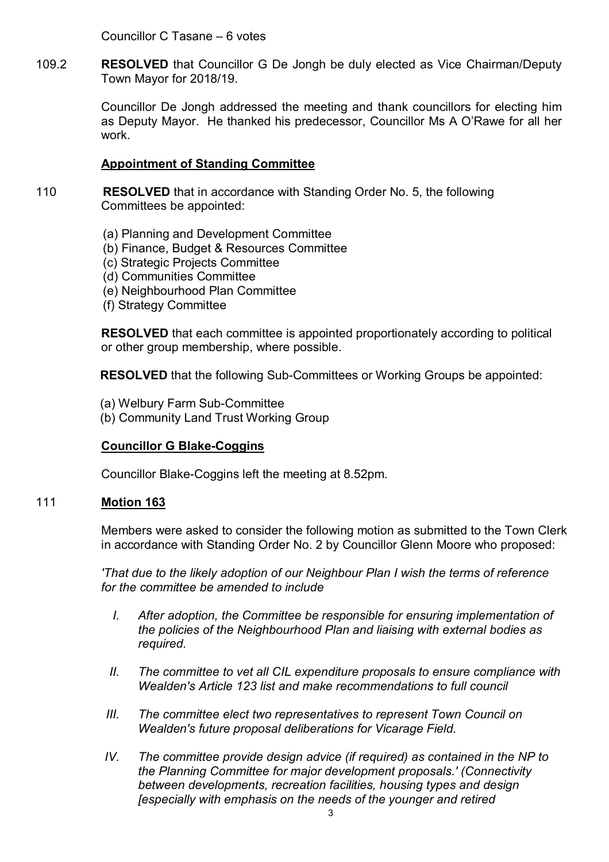Councillor C Tasane – 6 votes

109.2 **RESOLVED** that Councillor G De Jongh be duly elected as Vice Chairman/Deputy Town Mayor for 2018/19.

> Councillor De Jongh addressed the meeting and thank councillors for electing him as Deputy Mayor. He thanked his predecessor, Councillor Ms A O'Rawe for all her work.

# **Appointment of Standing Committee**

- 110 **RESOLVED** that in accordance with Standing Order No. 5, the following Committees be appointed:
	- (a) Planning and Development Committee
	- (b) Finance, Budget & Resources Committee
	- (c) Strategic Projects Committee
	- (d) Communities Committee
	- (e) Neighbourhood Plan Committee
	- (f) Strategy Committee

**RESOLVED** that each committee is appointed proportionately according to political or other group membership, where possible.

**RESOLVED** that the following Sub-Committees or Working Groups be appointed:

- (a) Welbury Farm Sub-Committee
- (b) Community Land Trust Working Group

# **Councillor G Blake-Coggins**

Councillor Blake-Coggins left the meeting at 8.52pm.

### 111 **Motion 163**

Members were asked to consider the following motion as submitted to the Town Clerk in accordance with Standing Order No. 2 by Councillor Glenn Moore who proposed:

*'That due to the likely adoption of our Neighbour Plan I wish the terms of reference for the committee be amended to include*

- *I. After adoption, the Committee be responsible for ensuring implementation of the policies of the Neighbourhood Plan and liaising with external bodies as required.*
- *II.* The committee to vet all CIL expenditure proposals to ensure compliance with *Wealden's Article 123 list and make recommendations to full council*
- *III. The committee elect two representatives to represent Town Council on Wealden's future proposal deliberations for Vicarage Field.*
- *IV. The committee provide design advice (if required) as contained in the NP to the Planning Committee for major development proposals.' (Connectivity between developments, recreation facilities, housing types and design [especially with emphasis on the needs of the younger and retired*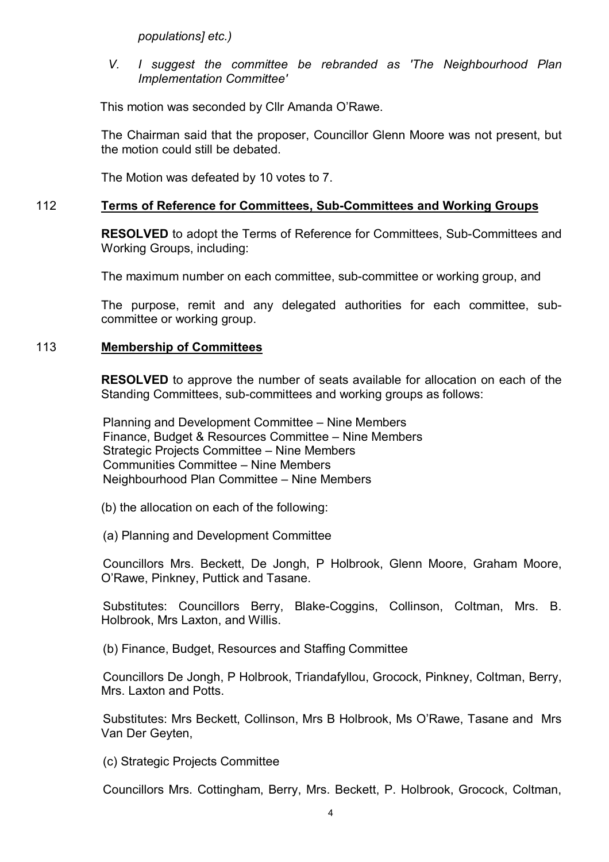*populations] etc.)*

*V. I suggest the committee be rebranded as 'The Neighbourhood Plan Implementation Committee'*

This motion was seconded by Cllr Amanda O'Rawe.

The Chairman said that the proposer, Councillor Glenn Moore was not present, but the motion could still be debated.

The Motion was defeated by 10 votes to 7.

### 112 **Terms of Reference for Committees, Sub-Committees and Working Groups**

**RESOLVED** to adopt the Terms of Reference for Committees, Sub-Committees and Working Groups, including:

The maximum number on each committee, sub-committee or working group, and

The purpose, remit and any delegated authorities for each committee, subcommittee or working group.

### 113 **Membership of Committees**

**RESOLVED** to approve the number of seats available for allocation on each of the Standing Committees, sub-committees and working groups as follows:

Planning and Development Committee – Nine Members Finance, Budget & Resources Committee – Nine Members Strategic Projects Committee – Nine Members Communities Committee – Nine Members Neighbourhood Plan Committee – Nine Members

- (b) the allocation on each of the following:
- (a) Planning and Development Committee

Councillors Mrs. Beckett, De Jongh, P Holbrook, Glenn Moore, Graham Moore, O'Rawe, Pinkney, Puttick and Tasane.

Substitutes: Councillors Berry, Blake-Coggins, Collinson, Coltman, Mrs. B. Holbrook, Mrs Laxton, and Willis.

(b) Finance, Budget, Resources and Staffing Committee

Councillors De Jongh, P Holbrook, Triandafyllou, Grocock, Pinkney, Coltman, Berry, Mrs. Laxton and Potts.

Substitutes: Mrs Beckett, Collinson, Mrs B Holbrook, Ms O'Rawe, Tasane and Mrs Van Der Geyten,

(c) Strategic Projects Committee

Councillors Mrs. Cottingham, Berry, Mrs. Beckett, P. Holbrook, Grocock, Coltman,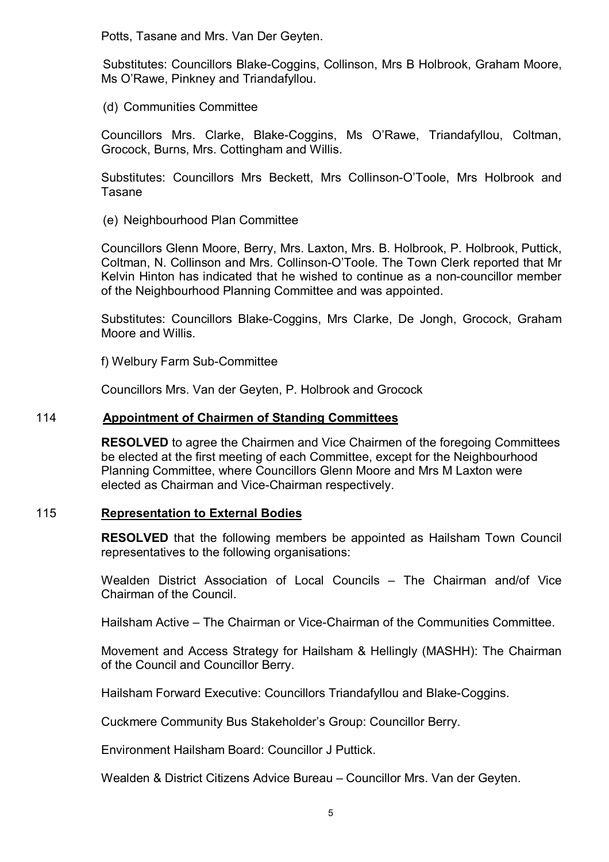Potts, Tasane and Mrs. Van Der Geyten.

Substitutes: Councillors Blake-Coggins, Collinson, Mrs B Holbrook, Graham Moore, Ms O'Rawe, Pinkney and Triandafyllou.

(d) Communities Committee

Councillors Mrs. Clarke, Blake-Coggins, Ms O'Rawe, Triandafyllou, Coltman, Grocock, Burns, Mrs. Cottingham and Willis.

Substitutes: Councillors Mrs Beckett, Mrs Collinson-O'Toole, Mrs Holbrook and Tasane

(e) Neighbourhood Plan Committee

Councillors Glenn Moore, Berry, Mrs. Laxton, Mrs. B. Holbrook, P. Holbrook, Puttick, Coltman, N. Collinson and Mrs. Collinson-O'Toole. The Town Clerk reported that Mr Kelvin Hinton has indicated that he wished to continue as a non-councillor member of the Neighbourhood Planning Committee and was appointed.

Substitutes: Councillors Blake-Coggins, Mrs Clarke, De Jongh, Grocock, Graham Moore and Willis.

f) Welbury Farm Sub-Committee

Councillors Mrs. Van der Geyten, P. Holbrook and Grocock

## 114 **Appointment of Chairmen of Standing Committees**

**RESOLVED** to agree the Chairmen and Vice Chairmen of the foregoing Committees be elected at the first meeting of each Committee, except for the Neighbourhood Planning Committee, where Councillors Glenn Moore and Mrs M Laxton were elected as Chairman and Vice-Chairman respectively.

### 115 **Representation to External Bodies**

**RESOLVED** that the following members be appointed as Hailsham Town Council representatives to the following organisations:

Wealden District Association of Local Councils – The Chairman and/of Vice Chairman of the Council.

Hailsham Active – The Chairman or Vice-Chairman of the Communities Committee.

Movement and Access Strategy for Hailsham & Hellingly (MASHH): The Chairman of the Council and Councillor Berry.

Hailsham Forward Executive: Councillors Triandafyllou and Blake-Coggins.

Cuckmere Community Bus Stakeholder's Group: Councillor Berry.

Environment Hailsham Board: Councillor J Puttick.

Wealden & District Citizens Advice Bureau – Councillor Mrs. Van der Geyten.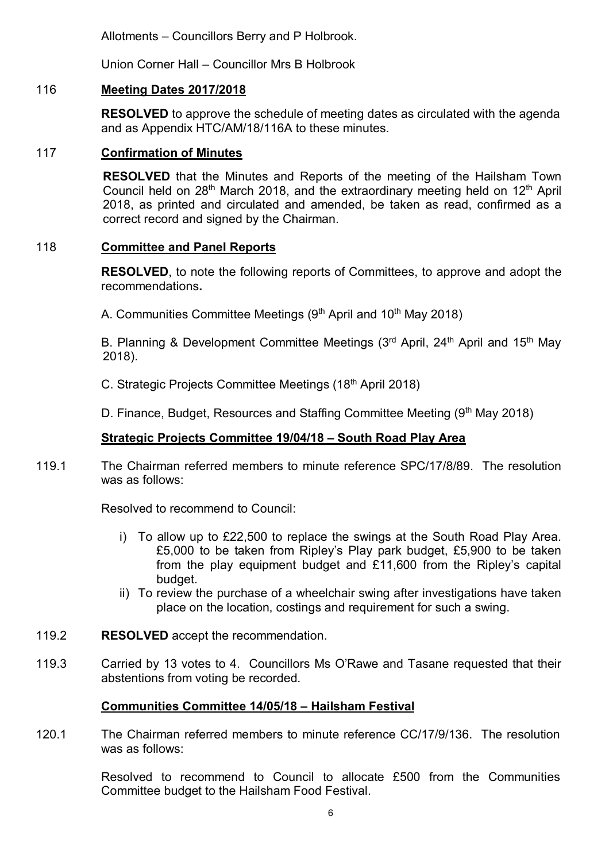Allotments – Councillors Berry and P Holbrook.

Union Corner Hall – Councillor Mrs B Holbrook

# 116 **Meeting Dates 2017/2018**

**RESOLVED** to approve the schedule of meeting dates as circulated with the agenda and as Appendix HTC/AM/18/116A to these minutes.

# 117 **Confirmation of Minutes**

**RESOLVED** that the Minutes and Reports of the meeting of the Hailsham Town Council held on 28<sup>th</sup> March 2018, and the extraordinary meeting held on 12<sup>th</sup> April 2018, as printed and circulated and amended, be taken as read, confirmed as a correct record and signed by the Chairman.

# 118 **Committee and Panel Reports**

**RESOLVED**, to note the following reports of Committees, to approve and adopt the recommendations**.**

A. Communities Committee Meetings (9<sup>th</sup> April and 10<sup>th</sup> May 2018)

B. Planning & Development Committee Meetings (3<sup>rd</sup> April, 24<sup>th</sup> April and 15<sup>th</sup> May 2018).

C. Strategic Projects Committee Meetings (18<sup>th</sup> April 2018)

D. Finance, Budget, Resources and Staffing Committee Meeting (9<sup>th</sup> May 2018)

# **Strategic Projects Committee 19/04/18 – South Road Play Area**

119.1 The Chairman referred members to minute reference SPC/17/8/89. The resolution was as follows:

Resolved to recommend to Council:

- i) To allow up to £22,500 to replace the swings at the South Road Play Area. £5,000 to be taken from Ripley's Play park budget, £5,900 to be taken from the play equipment budget and £11,600 from the Ripley's capital budget.
- ii) To review the purchase of a wheelchair swing after investigations have taken place on the location, costings and requirement for such a swing.
- 119.2 **RESOLVED** accept the recommendation.
- 119.3 Carried by 13 votes to 4. Councillors Ms O'Rawe and Tasane requested that their abstentions from voting be recorded.

# **Communities Committee 14/05/18 – Hailsham Festival**

120.1 The Chairman referred members to minute reference CC/17/9/136. The resolution was as follows:

> Resolved to recommend to Council to allocate £500 from the Communities Committee budget to the Hailsham Food Festival.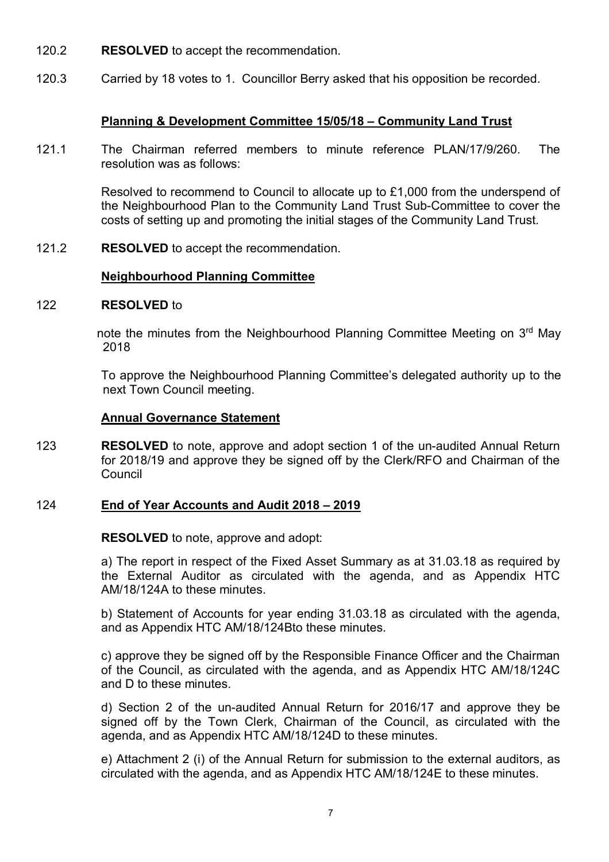- 120.2 **RESOLVED** to accept the recommendation.
- 120.3 Carried by 18 votes to 1. Councillor Berry asked that his opposition be recorded.

### **Planning & Development Committee 15/05/18 – Community Land Trust**

121.1 The Chairman referred members to minute reference PLAN/17/9/260. The resolution was as follows:

> Resolved to recommend to Council to allocate up to £1,000 from the underspend of the Neighbourhood Plan to the Community Land Trust Sub-Committee to cover the costs of setting up and promoting the initial stages of the Community Land Trust.

121.2 **RESOLVED** to accept the recommendation.

### **Neighbourhood Planning Committee**

#### 122 **RESOLVED** to

note the minutes from the Neighbourhood Planning Committee Meeting on 3<sup>rd</sup> May 2018

To approve the Neighbourhood Planning Committee's delegated authority up to the next Town Council meeting.

#### **Annual Governance Statement**

123 **RESOLVED** to note, approve and adopt section 1 of the un-audited Annual Return for 2018/19 and approve they be signed off by the Clerk/RFO and Chairman of the Council

#### 124 **End of Year Accounts and Audit 2018 – 2019**

**RESOLVED** to note, approve and adopt:

a) The report in respect of the Fixed Asset Summary as at 31.03.18 as required by the External Auditor as circulated with the agenda, and as Appendix HTC AM/18/124A to these minutes.

b) Statement of Accounts for year ending 31.03.18 as circulated with the agenda, and as Appendix HTC AM/18/124Bto these minutes.

c) approve they be signed off by the Responsible Finance Officer and the Chairman of the Council, as circulated with the agenda, and as Appendix HTC AM/18/124C and D to these minutes.

d) Section 2 of the un-audited Annual Return for 2016/17 and approve they be signed off by the Town Clerk, Chairman of the Council, as circulated with the agenda, and as Appendix HTC AM/18/124D to these minutes.

e) Attachment 2 (i) of the Annual Return for submission to the external auditors, as circulated with the agenda, and as Appendix HTC AM/18/124E to these minutes.